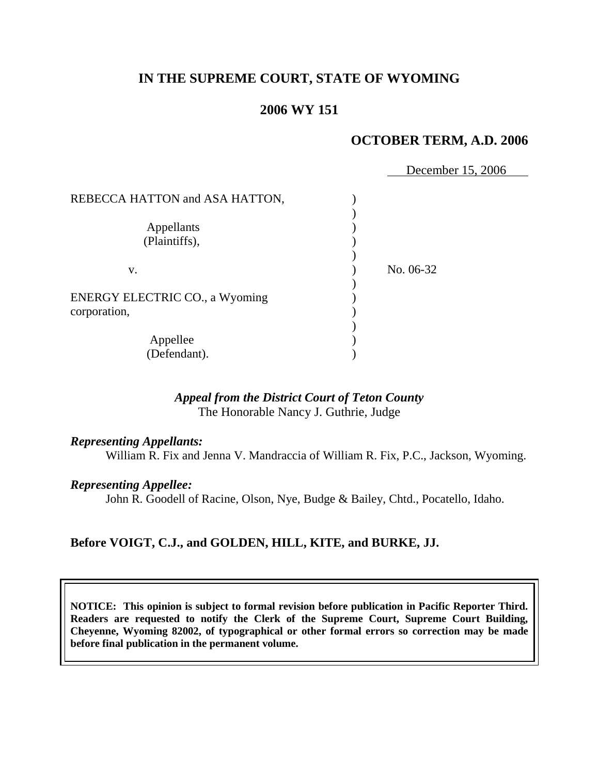# **IN THE SUPREME COURT, STATE OF WYOMING**

# **2006 WY 151**

# **OCTOBER TERM, A.D. 2006**

December 15, 2006

REBECCA HATTON and ASA HATTON,  $\mathcal{L}$ Appellants (a) (Plaintiffs), ) ) v. ) No. 06-32 ) ENERGY ELECTRIC CO., a Wyoming  $()$ corporation,  $\qquad \qquad$  ) ) Appellee (a) (Defendant). )

# *Appeal from the District Court of Teton County* The Honorable Nancy J. Guthrie, Judge

# *Representing Appellants:*

William R. Fix and Jenna V. Mandraccia of William R. Fix, P.C., Jackson, Wyoming.

## *Representing Appellee:*

John R. Goodell of Racine, Olson, Nye, Budge & Bailey, Chtd., Pocatello, Idaho.

# **Before VOIGT, C.J., and GOLDEN, HILL, KITE, and BURKE, JJ.**

**NOTICE: This opinion is subject to formal revision before publication in Pacific Reporter Third. Readers are requested to notify the Clerk of the Supreme Court, Supreme Court Building, Cheyenne, Wyoming 82002, of typographical or other formal errors so correction may be made before final publication in the permanent volume.**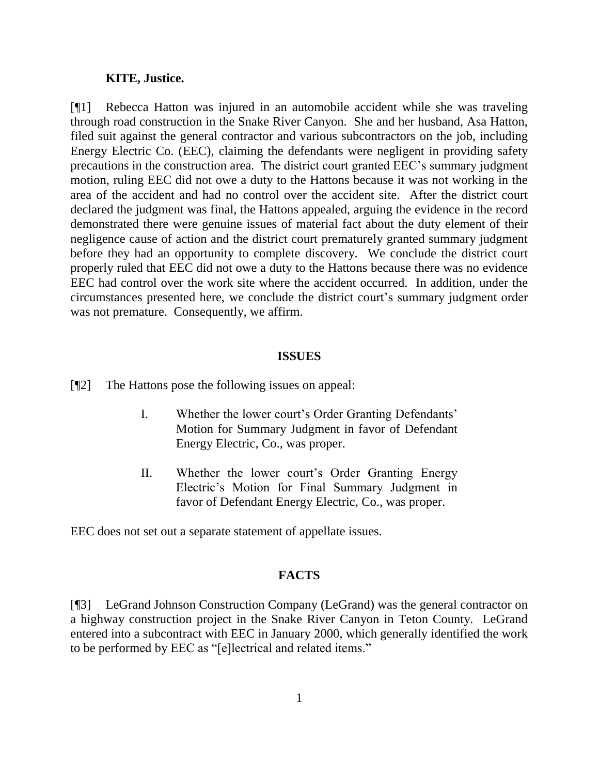#### **KITE, Justice.**

[¶1] Rebecca Hatton was injured in an automobile accident while she was traveling through road construction in the Snake River Canyon. She and her husband, Asa Hatton, filed suit against the general contractor and various subcontractors on the job, including Energy Electric Co. (EEC), claiming the defendants were negligent in providing safety precautions in the construction area. The district court granted EEC's summary judgment motion, ruling EEC did not owe a duty to the Hattons because it was not working in the area of the accident and had no control over the accident site. After the district court declared the judgment was final, the Hattons appealed, arguing the evidence in the record demonstrated there were genuine issues of material fact about the duty element of their negligence cause of action and the district court prematurely granted summary judgment before they had an opportunity to complete discovery. We conclude the district court properly ruled that EEC did not owe a duty to the Hattons because there was no evidence EEC had control over the work site where the accident occurred. In addition, under the circumstances presented here, we conclude the district court's summary judgment order was not premature. Consequently, we affirm.

#### **ISSUES**

[¶2] The Hattons pose the following issues on appeal:

- I. Whether the lower court's Order Granting Defendants' Motion for Summary Judgment in favor of Defendant Energy Electric, Co., was proper.
- II. Whether the lower court's Order Granting Energy Electric's Motion for Final Summary Judgment in favor of Defendant Energy Electric, Co., was proper.

EEC does not set out a separate statement of appellate issues.

# **FACTS**

[¶3] LeGrand Johnson Construction Company (LeGrand) was the general contractor on a highway construction project in the Snake River Canyon in Teton County. LeGrand entered into a subcontract with EEC in January 2000, which generally identified the work to be performed by EEC as "[e]lectrical and related items."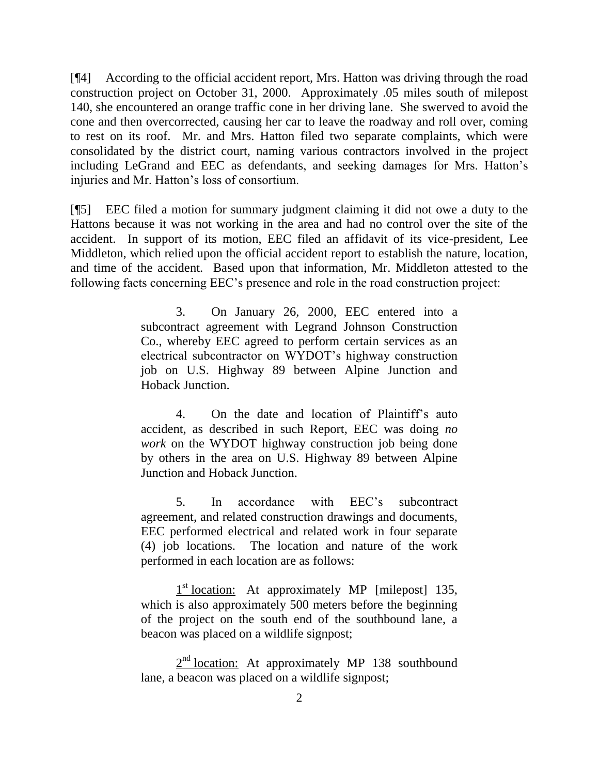[¶4] According to the official accident report, Mrs. Hatton was driving through the road construction project on October 31, 2000. Approximately .05 miles south of milepost 140, she encountered an orange traffic cone in her driving lane. She swerved to avoid the cone and then overcorrected, causing her car to leave the roadway and roll over, coming to rest on its roof. Mr. and Mrs. Hatton filed two separate complaints, which were consolidated by the district court, naming various contractors involved in the project including LeGrand and EEC as defendants, and seeking damages for Mrs. Hatton's injuries and Mr. Hatton's loss of consortium.

[¶5] EEC filed a motion for summary judgment claiming it did not owe a duty to the Hattons because it was not working in the area and had no control over the site of the accident. In support of its motion, EEC filed an affidavit of its vice-president, Lee Middleton, which relied upon the official accident report to establish the nature, location, and time of the accident. Based upon that information, Mr. Middleton attested to the following facts concerning EEC's presence and role in the road construction project:

> 3. On January 26, 2000, EEC entered into a subcontract agreement with Legrand Johnson Construction Co., whereby EEC agreed to perform certain services as an electrical subcontractor on WYDOT's highway construction job on U.S. Highway 89 between Alpine Junction and Hoback Junction.

> 4. On the date and location of Plaintiff's auto accident, as described in such Report, EEC was doing *no work* on the WYDOT highway construction job being done by others in the area on U.S. Highway 89 between Alpine Junction and Hoback Junction.

> 5. In accordance with EEC's subcontract agreement, and related construction drawings and documents, EEC performed electrical and related work in four separate (4) job locations. The location and nature of the work performed in each location are as follows:

> 1<sup>st</sup> location: At approximately MP [milepost] 135, which is also approximately 500 meters before the beginning of the project on the south end of the southbound lane, a beacon was placed on a wildlife signpost;

> $2<sup>nd</sup>$  location: At approximately MP 138 southbound lane, a beacon was placed on a wildlife signpost;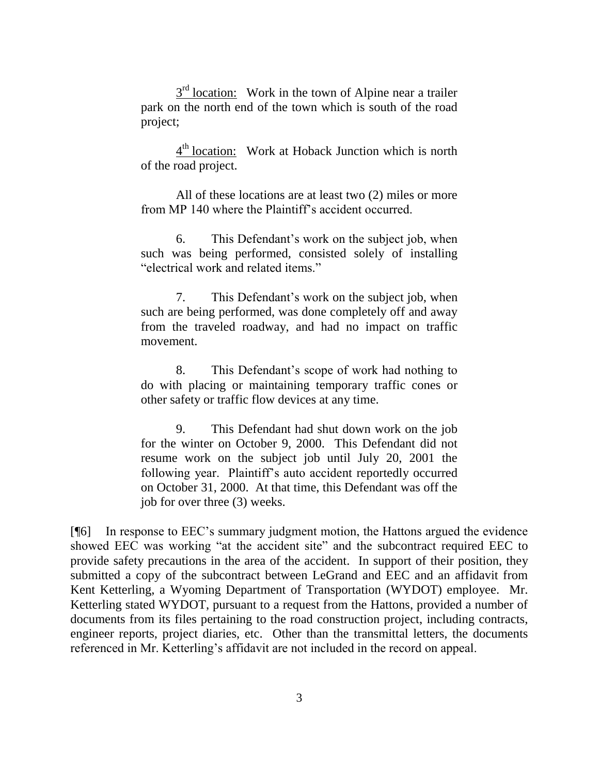$3<sup>rd</sup>$  location: Work in the town of Alpine near a trailer park on the north end of the town which is south of the road project;

 $4<sup>th</sup>$  location: Work at Hoback Junction which is north of the road project.

All of these locations are at least two (2) miles or more from MP 140 where the Plaintiff's accident occurred.

6. This Defendant's work on the subject job, when such was being performed, consisted solely of installing "electrical work and related items."

7. This Defendant's work on the subject job, when such are being performed, was done completely off and away from the traveled roadway, and had no impact on traffic movement.

8. This Defendant's scope of work had nothing to do with placing or maintaining temporary traffic cones or other safety or traffic flow devices at any time.

9. This Defendant had shut down work on the job for the winter on October 9, 2000. This Defendant did not resume work on the subject job until July 20, 2001 the following year. Plaintiff's auto accident reportedly occurred on October 31, 2000. At that time, this Defendant was off the job for over three (3) weeks.

[¶6] In response to EEC's summary judgment motion, the Hattons argued the evidence showed EEC was working "at the accident site" and the subcontract required EEC to provide safety precautions in the area of the accident. In support of their position, they submitted a copy of the subcontract between LeGrand and EEC and an affidavit from Kent Ketterling, a Wyoming Department of Transportation (WYDOT) employee. Mr. Ketterling stated WYDOT, pursuant to a request from the Hattons, provided a number of documents from its files pertaining to the road construction project, including contracts, engineer reports, project diaries, etc. Other than the transmittal letters, the documents referenced in Mr. Ketterling's affidavit are not included in the record on appeal.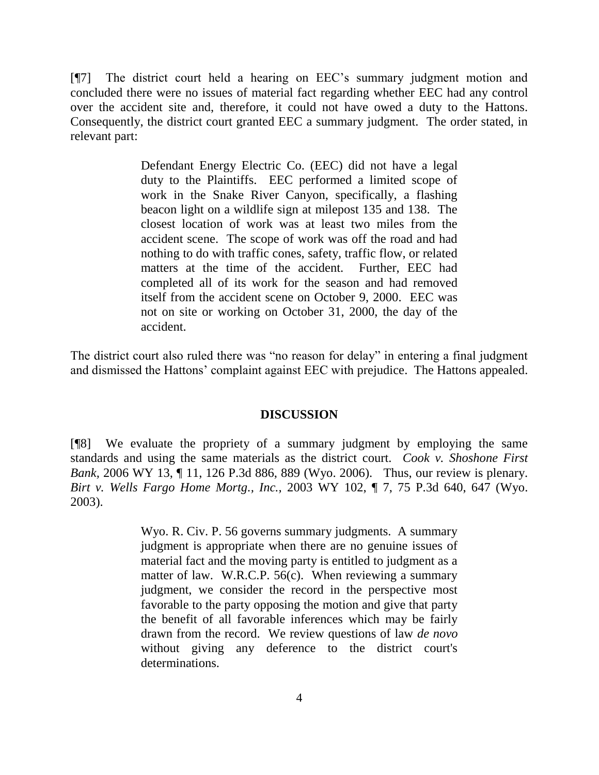[¶7] The district court held a hearing on EEC's summary judgment motion and concluded there were no issues of material fact regarding whether EEC had any control over the accident site and, therefore, it could not have owed a duty to the Hattons. Consequently, the district court granted EEC a summary judgment. The order stated, in relevant part:

> Defendant Energy Electric Co. (EEC) did not have a legal duty to the Plaintiffs. EEC performed a limited scope of work in the Snake River Canyon, specifically, a flashing beacon light on a wildlife sign at milepost 135 and 138. The closest location of work was at least two miles from the accident scene. The scope of work was off the road and had nothing to do with traffic cones, safety, traffic flow, or related matters at the time of the accident. Further, EEC had completed all of its work for the season and had removed itself from the accident scene on October 9, 2000. EEC was not on site or working on October 31, 2000, the day of the accident.

The district court also ruled there was "no reason for delay" in entering a final judgment and dismissed the Hattons' complaint against EEC with prejudice. The Hattons appealed.

# **DISCUSSION**

[¶8] We evaluate the propriety of a summary judgment by employing the same standards and using the same materials as the district court. *Cook v. Shoshone First Bank,* 2006 WY 13, ¶ 11, 126 P.3d 886, 889 (Wyo. 2006). Thus, our review is plenary. *Birt v. Wells Fargo Home Mortg., Inc.,* 2003 WY 102, ¶ 7, 75 P.3d 640, 647 (Wyo. 2003).

> Wyo. R. Civ. P. 56 governs summary judgments. A summary judgment is appropriate when there are no genuine issues of material fact and the moving party is entitled to judgment as a matter of law. W.R.C.P. 56(c). When reviewing a summary judgment, we consider the record in the perspective most favorable to the party opposing the motion and give that party the benefit of all favorable inferences which may be fairly drawn from the record. We review questions of law *de novo* without giving any deference to the district court's determinations.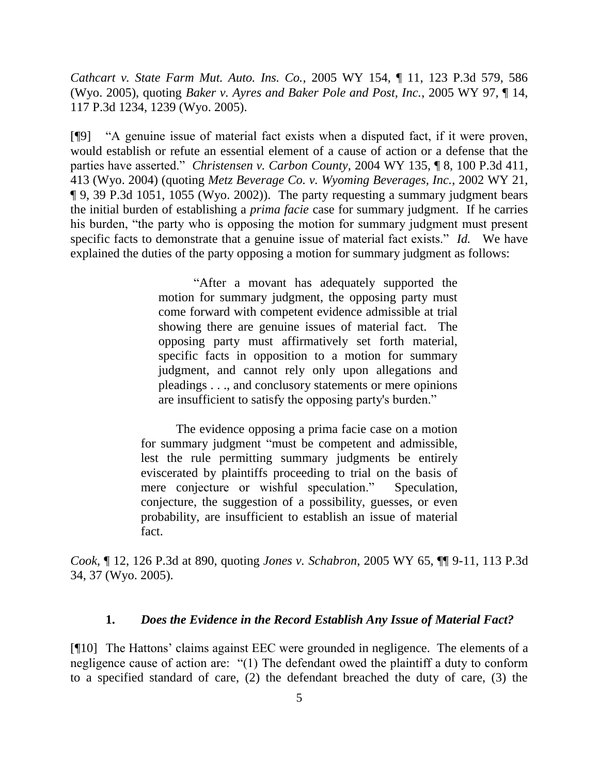*Cathcart v. State Farm Mut. Auto. Ins. Co.,* 2005 WY 154, ¶ 11, 123 P.3d 579, 586 (Wyo. 2005), quoting *Baker v. Ayres and Baker Pole and Post, Inc.*, 2005 WY 97, ¶ 14, 117 P.3d 1234, 1239 (Wyo. 2005).

[¶9] "A genuine issue of material fact exists when a disputed fact, if it were proven, would establish or refute an essential element of a cause of action or a defense that the parties have asserted." *Christensen v. Carbon County*, 2004 WY 135, ¶ 8, 100 P.3d 411, 413 (Wyo. 2004) (quoting *Metz Beverage Co. v. Wyoming Beverages, Inc.*, 2002 WY 21, ¶ 9, 39 P.3d 1051, 1055 (Wyo. 2002)). The party requesting a summary judgment bears the initial burden of establishing a *prima facie* case for summary judgment. If he carries his burden, "the party who is opposing the motion for summary judgment must present specific facts to demonstrate that a genuine issue of material fact exists." *Id.* We have explained the duties of the party opposing a motion for summary judgment as follows:

> "After a movant has adequately supported the motion for summary judgment, the opposing party must come forward with competent evidence admissible at trial showing there are genuine issues of material fact. The opposing party must affirmatively set forth material, specific facts in opposition to a motion for summary judgment, and cannot rely only upon allegations and pleadings . . ., and conclusory statements or mere opinions are insufficient to satisfy the opposing party's burden."

The evidence opposing a prima facie case on a motion for summary judgment "must be competent and admissible, lest the rule permitting summary judgments be entirely eviscerated by plaintiffs proceeding to trial on the basis of mere conjecture or wishful speculation." Speculation, conjecture, the suggestion of a possibility, guesses, or even probability, are insufficient to establish an issue of material fact.

*Cook*, ¶ 12, 126 P.3d at 890, quoting *Jones v. Schabron*, 2005 WY 65, ¶¶ 9-11, 113 P.3d 34, 37 (Wyo. 2005).

# **1.** *Does the Evidence in the Record Establish Any Issue of Material Fact?*

[¶10] The Hattons' claims against EEC were grounded in negligence. The elements of a negligence cause of action are: "(1) The defendant owed the plaintiff a duty to conform to a specified standard of care, (2) the defendant breached the duty of care, (3) the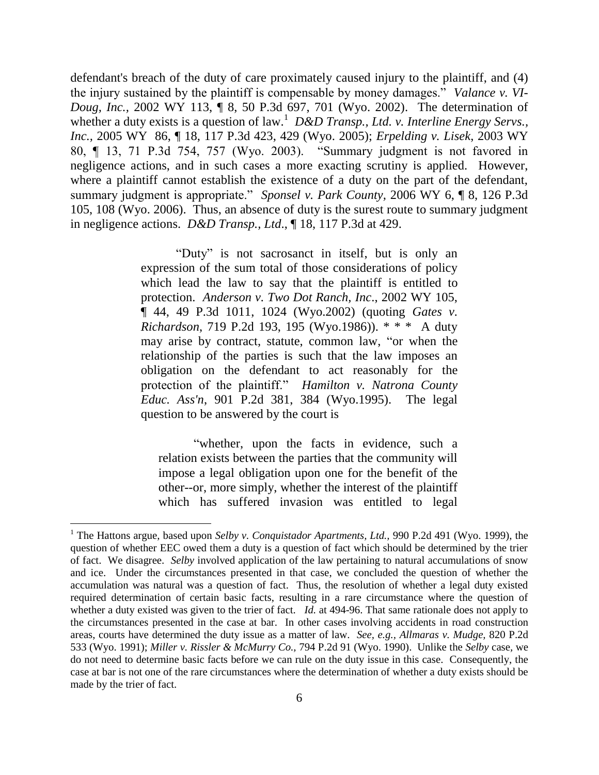defendant's breach of the duty of care proximately caused injury to the plaintiff, and (4) the injury sustained by the plaintiff is compensable by money damages." *Valance v. VI-Doug, Inc.,* 2002 WY 113, ¶ 8, 50 P.3d 697, 701 (Wyo. 2002). The determination of whether a duty exists is a question of law.<sup>1</sup> D&D Transp., Ltd. v. Interline Energy Servs., *Inc.,* 2005 WY 86, ¶ 18, 117 P.3d 423, 429 (Wyo. 2005); *Erpelding v. Lisek*, 2003 WY 80, ¶ 13, 71 P.3d 754, 757 (Wyo. 2003). "Summary judgment is not favored in negligence actions, and in such cases a more exacting scrutiny is applied. However, where a plaintiff cannot establish the existence of a duty on the part of the defendant, summary judgment is appropriate." *Sponsel v. Park County,* 2006 WY 6, ¶ 8, 126 P.3d 105, 108 (Wyo. 2006). Thus, an absence of duty is the surest route to summary judgment in negligence actions. *D&D Transp., Ltd*., ¶ 18, 117 P.3d at 429.

> "Duty" is not sacrosanct in itself, but is only an expression of the sum total of those considerations of policy which lead the law to say that the plaintiff is entitled to protection. *Anderson v. Two Dot Ranch, Inc*., 2002 WY 105, ¶ 44, 49 P.3d 1011, 1024 (Wyo.2002) (quoting *Gates v. Richardson*, 719 P.2d 193, 195 (Wyo.1986)). \* \* \* A duty may arise by contract, statute, common law, "or when the relationship of the parties is such that the law imposes an obligation on the defendant to act reasonably for the protection of the plaintiff." *Hamilton v. Natrona County Educ. Ass'n*, 901 P.2d 381, 384 (Wyo.1995). The legal question to be answered by the court is

"whether, upon the facts in evidence, such a relation exists between the parties that the community will impose a legal obligation upon one for the benefit of the other--or, more simply, whether the interest of the plaintiff which has suffered invasion was entitled to legal

<sup>&</sup>lt;sup>1</sup> The Hattons argue, based upon *Selby v. Conquistador Apartments, Ltd.*, 990 P.2d 491 (Wyo. 1999), the question of whether EEC owed them a duty is a question of fact which should be determined by the trier of fact. We disagree. *Selby* involved application of the law pertaining to natural accumulations of snow and ice. Under the circumstances presented in that case, we concluded the question of whether the accumulation was natural was a question of fact. Thus, the resolution of whether a legal duty existed required determination of certain basic facts, resulting in a rare circumstance where the question of whether a duty existed was given to the trier of fact. *Id.* at 494-96. That same rationale does not apply to the circumstances presented in the case at bar. In other cases involving accidents in road construction areas, courts have determined the duty issue as a matter of law. *See, e.g., Allmaras v. Mudge,* 820 P.2d 533 (Wyo. 1991); *Miller v. Rissler & McMurry Co.,* 794 P.2d 91 (Wyo. 1990). Unlike the *Selby* case*,* we do not need to determine basic facts before we can rule on the duty issue in this case. Consequently, the case at bar is not one of the rare circumstances where the determination of whether a duty exists should be made by the trier of fact.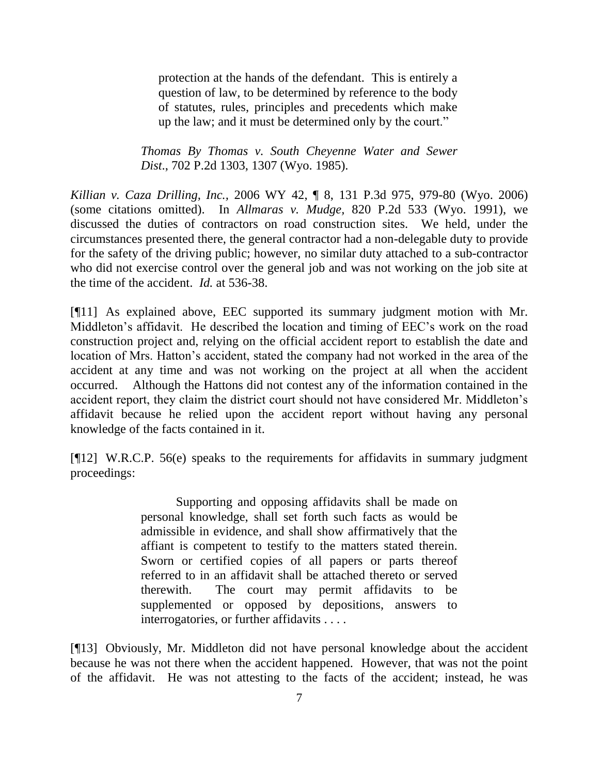protection at the hands of the defendant. This is entirely a question of law, to be determined by reference to the body of statutes, rules, principles and precedents which make up the law; and it must be determined only by the court."

*Thomas By Thomas v. South Cheyenne Water and Sewer Dist*., 702 P.2d 1303, 1307 (Wyo. 1985).

*Killian v. Caza Drilling, Inc.,* 2006 WY 42, ¶ 8, 131 P.3d 975, 979-80 (Wyo. 2006) (some citations omitted). In *Allmaras v. Mudge,* 820 P.2d 533 (Wyo. 1991), we discussed the duties of contractors on road construction sites. We held, under the circumstances presented there, the general contractor had a non-delegable duty to provide for the safety of the driving public; however, no similar duty attached to a sub-contractor who did not exercise control over the general job and was not working on the job site at the time of the accident. *Id.* at 536-38.

[¶11] As explained above, EEC supported its summary judgment motion with Mr. Middleton's affidavit. He described the location and timing of EEC's work on the road construction project and, relying on the official accident report to establish the date and location of Mrs. Hatton's accident, stated the company had not worked in the area of the accident at any time and was not working on the project at all when the accident occurred. Although the Hattons did not contest any of the information contained in the accident report, they claim the district court should not have considered Mr. Middleton's affidavit because he relied upon the accident report without having any personal knowledge of the facts contained in it.

[¶12] W.R.C.P. 56(e) speaks to the requirements for affidavits in summary judgment proceedings:

> Supporting and opposing affidavits shall be made on personal knowledge, shall set forth such facts as would be admissible in evidence, and shall show affirmatively that the affiant is competent to testify to the matters stated therein. Sworn or certified copies of all papers or parts thereof referred to in an affidavit shall be attached thereto or served therewith. The court may permit affidavits to be supplemented or opposed by depositions, answers to interrogatories, or further affidavits . . . .

[¶13] Obviously, Mr. Middleton did not have personal knowledge about the accident because he was not there when the accident happened. However, that was not the point of the affidavit. He was not attesting to the facts of the accident; instead, he was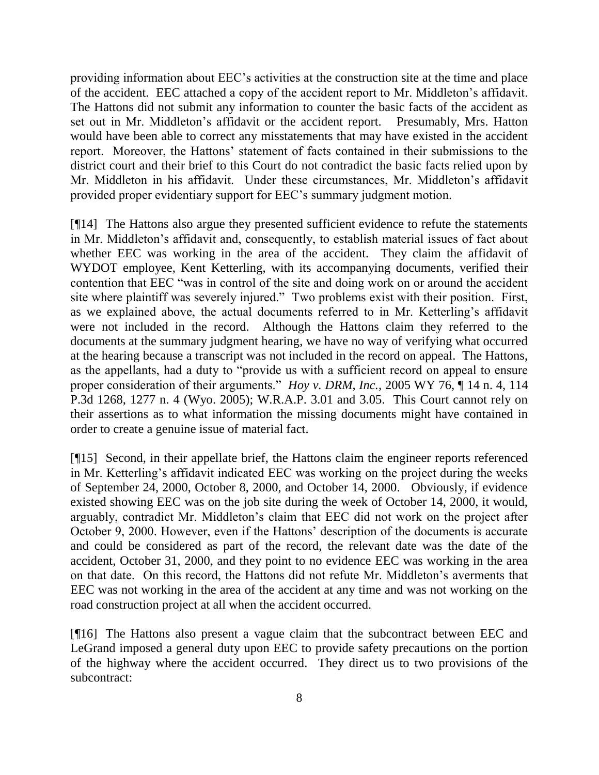providing information about EEC's activities at the construction site at the time and place of the accident. EEC attached a copy of the accident report to Mr. Middleton's affidavit. The Hattons did not submit any information to counter the basic facts of the accident as set out in Mr. Middleton's affidavit or the accident report. Presumably, Mrs. Hatton would have been able to correct any misstatements that may have existed in the accident report. Moreover, the Hattons' statement of facts contained in their submissions to the district court and their brief to this Court do not contradict the basic facts relied upon by Mr. Middleton in his affidavit. Under these circumstances, Mr. Middleton's affidavit provided proper evidentiary support for EEC's summary judgment motion.

[¶14] The Hattons also argue they presented sufficient evidence to refute the statements in Mr. Middleton's affidavit and, consequently, to establish material issues of fact about whether EEC was working in the area of the accident. They claim the affidavit of WYDOT employee, Kent Ketterling, with its accompanying documents, verified their contention that EEC "was in control of the site and doing work on or around the accident site where plaintiff was severely injured." Two problems exist with their position. First, as we explained above, the actual documents referred to in Mr. Ketterling's affidavit were not included in the record. Although the Hattons claim they referred to the documents at the summary judgment hearing, we have no way of verifying what occurred at the hearing because a transcript was not included in the record on appeal. The Hattons, as the appellants, had a duty to "provide us with a sufficient record on appeal to ensure proper consideration of their arguments." *Hoy v. DRM, Inc.,* 2005 WY 76, ¶ 14 n. 4, 114 P.3d 1268, 1277 n. 4 (Wyo. 2005); W.R.A.P. 3.01 and 3.05. This Court cannot rely on their assertions as to what information the missing documents might have contained in order to create a genuine issue of material fact.

[¶15] Second, in their appellate brief, the Hattons claim the engineer reports referenced in Mr. Ketterling's affidavit indicated EEC was working on the project during the weeks of September 24, 2000, October 8, 2000, and October 14, 2000. Obviously, if evidence existed showing EEC was on the job site during the week of October 14, 2000, it would, arguably, contradict Mr. Middleton's claim that EEC did not work on the project after October 9, 2000. However, even if the Hattons' description of the documents is accurate and could be considered as part of the record, the relevant date was the date of the accident, October 31, 2000, and they point to no evidence EEC was working in the area on that date. On this record, the Hattons did not refute Mr. Middleton's averments that EEC was not working in the area of the accident at any time and was not working on the road construction project at all when the accident occurred.

[¶16] The Hattons also present a vague claim that the subcontract between EEC and LeGrand imposed a general duty upon EEC to provide safety precautions on the portion of the highway where the accident occurred. They direct us to two provisions of the subcontract: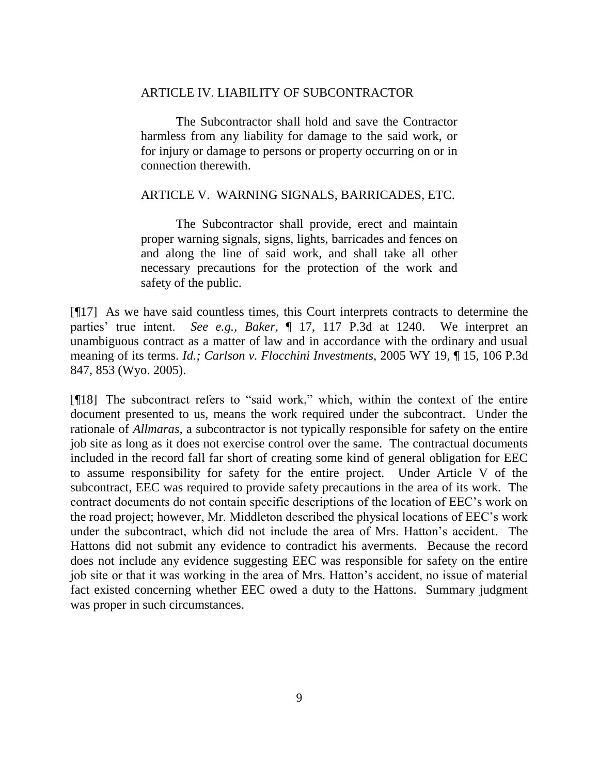## ARTICLE IV. LIABILITY OF SUBCONTRACTOR

The Subcontractor shall hold and save the Contractor harmless from any liability for damage to the said work, or for injury or damage to persons or property occurring on or in connection therewith.

### ARTICLE V. WARNING SIGNALS, BARRICADES, ETC.

The Subcontractor shall provide, erect and maintain proper warning signals, signs, lights, barricades and fences on and along the line of said work, and shall take all other necessary precautions for the protection of the work and safety of the public.

[¶17] As we have said countless times, this Court interprets contracts to determine the parties' true intent. *See e.g., Baker,* ¶ 17, 117 P.3d at 1240. We interpret an unambiguous contract as a matter of law and in accordance with the ordinary and usual meaning of its terms. *Id.; Carlson v. Flocchini Investments,* 2005 WY 19, ¶ 15, 106 P.3d 847, 853 (Wyo. 2005).

[¶18] The subcontract refers to "said work," which, within the context of the entire document presented to us, means the work required under the subcontract. Under the rationale of *Allmaras,* a subcontractor is not typically responsible for safety on the entire job site as long as it does not exercise control over the same. The contractual documents included in the record fall far short of creating some kind of general obligation for EEC to assume responsibility for safety for the entire project. Under Article V of the subcontract, EEC was required to provide safety precautions in the area of its work. The contract documents do not contain specific descriptions of the location of EEC's work on the road project; however, Mr. Middleton described the physical locations of EEC's work under the subcontract, which did not include the area of Mrs. Hatton's accident. The Hattons did not submit any evidence to contradict his averments. Because the record does not include any evidence suggesting EEC was responsible for safety on the entire job site or that it was working in the area of Mrs. Hatton's accident, no issue of material fact existed concerning whether EEC owed a duty to the Hattons. Summary judgment was proper in such circumstances.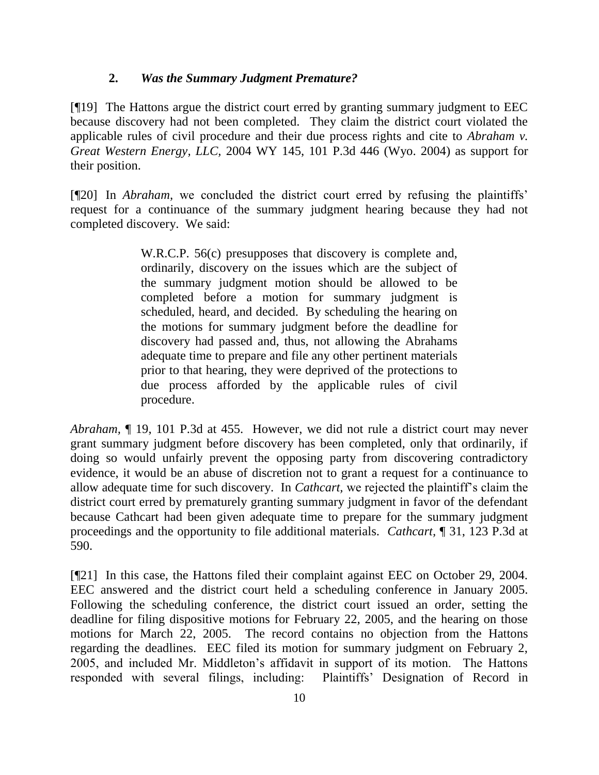# **2.** *Was the Summary Judgment Premature?*

[¶19] The Hattons argue the district court erred by granting summary judgment to EEC because discovery had not been completed. They claim the district court violated the applicable rules of civil procedure and their due process rights and cite to *Abraham v. Great Western Energy, LLC,* 2004 WY 145, 101 P.3d 446 (Wyo. 2004) as support for their position.

[¶20] In *Abraham,* we concluded the district court erred by refusing the plaintiffs' request for a continuance of the summary judgment hearing because they had not completed discovery. We said:

> W.R.C.P. 56(c) presupposes that discovery is complete and, ordinarily, discovery on the issues which are the subject of the summary judgment motion should be allowed to be completed before a motion for summary judgment is scheduled, heard, and decided. By scheduling the hearing on the motions for summary judgment before the deadline for discovery had passed and, thus, not allowing the Abrahams adequate time to prepare and file any other pertinent materials prior to that hearing, they were deprived of the protections to due process afforded by the applicable rules of civil procedure.

*Abraham,* ¶ 19, 101 P.3d at 455. However, we did not rule a district court may never grant summary judgment before discovery has been completed, only that ordinarily, if doing so would unfairly prevent the opposing party from discovering contradictory evidence, it would be an abuse of discretion not to grant a request for a continuance to allow adequate time for such discovery. In *Cathcart,* we rejected the plaintiff's claim the district court erred by prematurely granting summary judgment in favor of the defendant because Cathcart had been given adequate time to prepare for the summary judgment proceedings and the opportunity to file additional materials. *Cathcart,* ¶ 31, 123 P.3d at 590.

[¶21] In this case, the Hattons filed their complaint against EEC on October 29, 2004. EEC answered and the district court held a scheduling conference in January 2005. Following the scheduling conference, the district court issued an order, setting the deadline for filing dispositive motions for February 22, 2005, and the hearing on those motions for March 22, 2005. The record contains no objection from the Hattons regarding the deadlines. EEC filed its motion for summary judgment on February 2, 2005, and included Mr. Middleton's affidavit in support of its motion. The Hattons responded with several filings, including: Plaintiffs' Designation of Record in